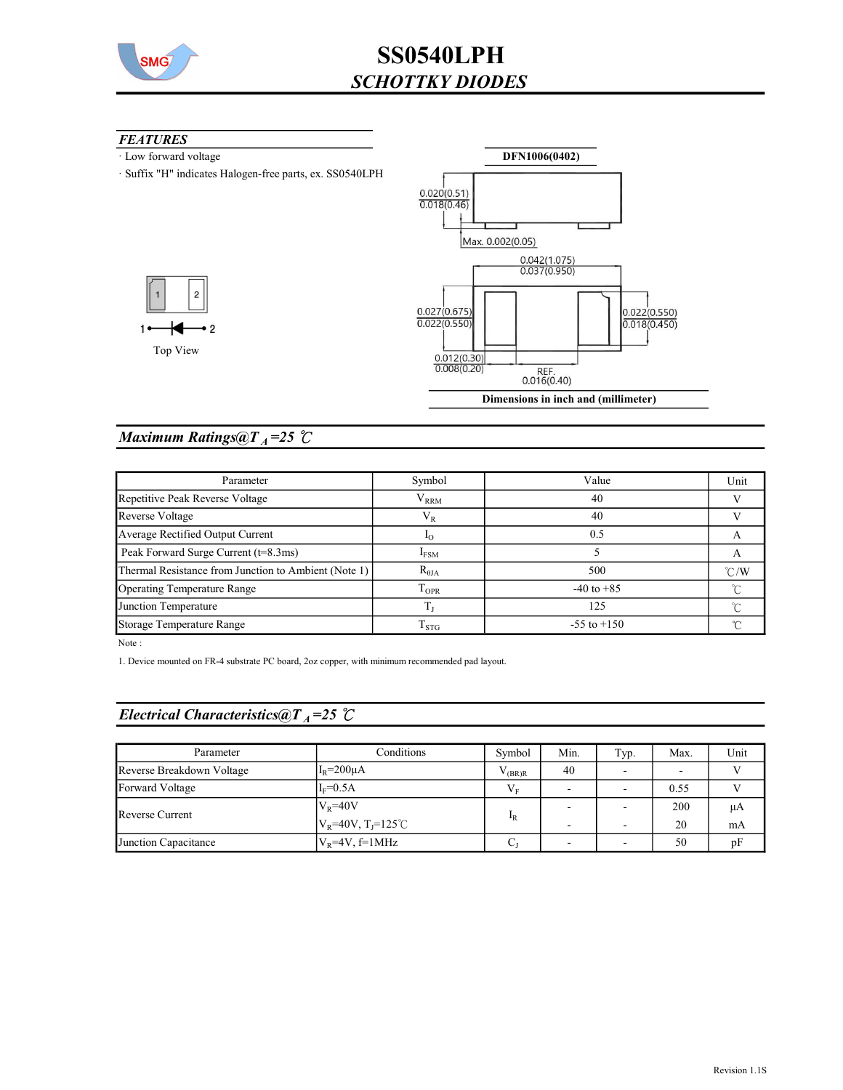

#### **FEATURES**

1

- · Low forward voltage
- · Suffix "H" indicates Halogen-free parts, ex. SS0540LPH



DFN1006(0402)

### Maximum Ratings@ $T_A = 25$  °C

| Parameter                                            | Symbol              | Value           | Unit          |
|------------------------------------------------------|---------------------|-----------------|---------------|
| Repetitive Peak Reverse Voltage                      | ${\rm V}_{\rm RRM}$ | 40              |               |
| Reverse Voltage                                      | $\rm V_R$           | 40              |               |
| Average Rectified Output Current                     | 1 <sub>O</sub>      | 0.5             | А             |
| Peak Forward Surge Current (t=8.3ms)                 | $I_{FSM}$           |                 | A             |
| Thermal Resistance from Junction to Ambient (Note 1) | $R_{\theta JA}$     | 500             | $\degree$ C/W |
| Operating Temperature Range                          | $T_{OPR}$           | $-40$ to $+85$  | ∽             |
| Junction Temperature                                 |                     | 125             | ∽             |
| Storage Temperature Range                            | $\mathrm{T_{STG}}$  | $-55$ to $+150$ |               |

Note :

1. Device mounted on FR-4 substrate PC board, 2oz copper, with minimum recommended pad layout.

## Electrical Characteristics@T<sub>A</sub>=25 °C

| Parameter                 | Conditions                                     | Symbol         | Min. | Typ. | Max. | Unit |
|---------------------------|------------------------------------------------|----------------|------|------|------|------|
| Reverse Breakdown Voltage | $IR=200\mu A$                                  | $\sqrt{(BR)R}$ | 40   | -    |      |      |
| Forward Voltage           | $I_F=0.5A$                                     | $V_{\rm E}$    |      | -    | 0.55 |      |
| Reverse Current           | $ V_R=40V$                                     | $I_R$          |      |      | 200  | μA   |
|                           | $V_R$ =40V, T <sub>J</sub> =125 <sup>°</sup> C |                | -    | -    | 20   | mA   |
| Junction Capacitance      | $V_R$ =4V, f=1MHz                              |                |      |      | 50   | pF   |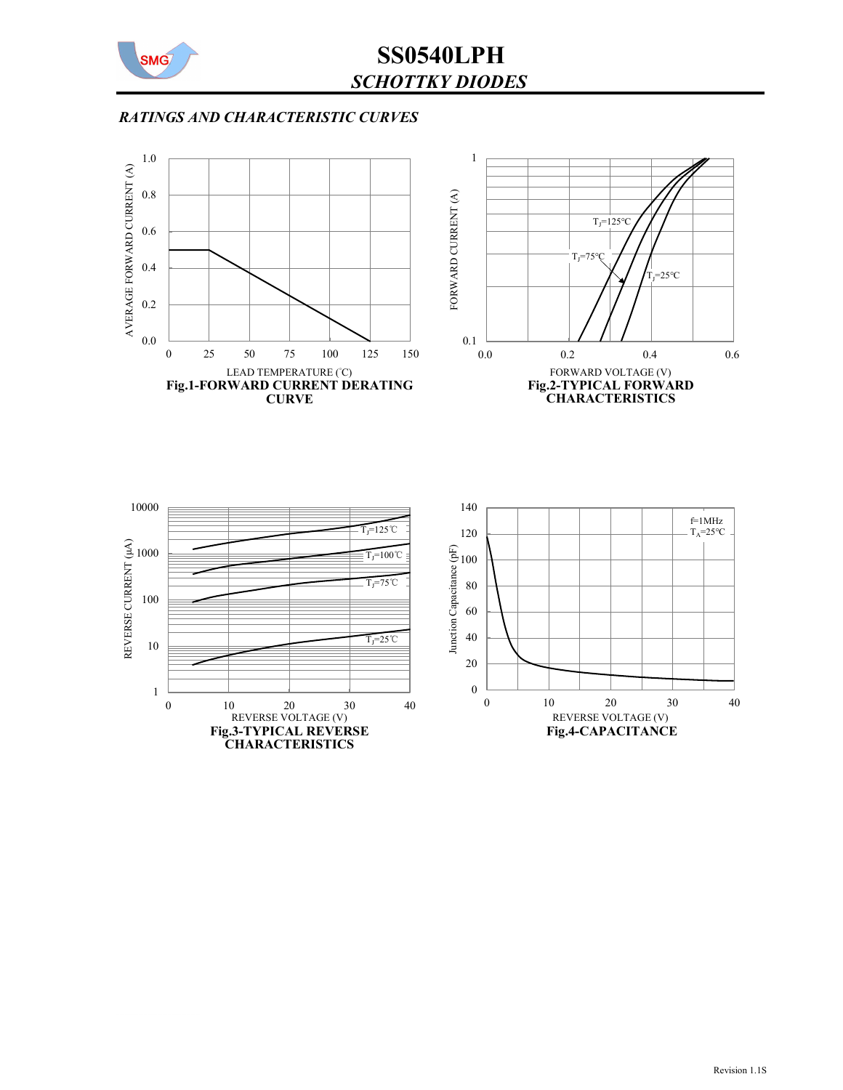

# SS0540LPH SCHOTTKY DIODES

### RATINGS AND CHARACTERISTIC CURVES

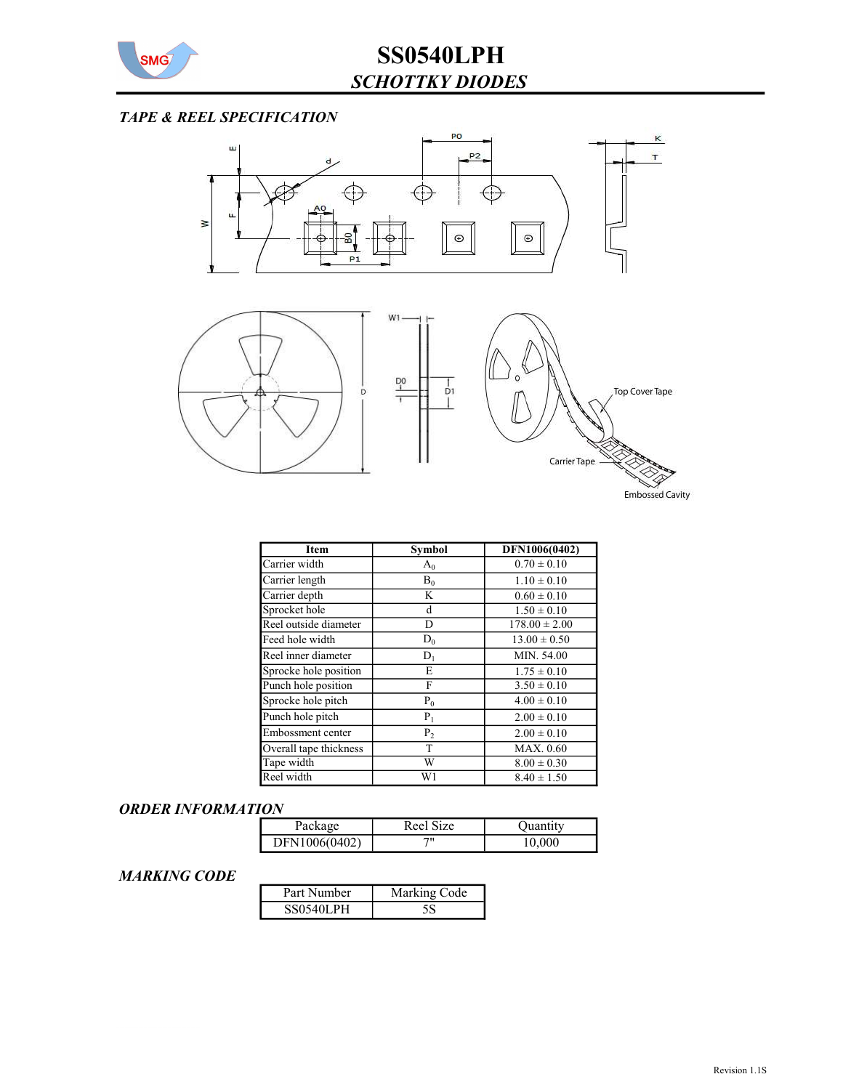![](_page_2_Picture_0.jpeg)

## TAPE & REEL SPECIFICATION

![](_page_2_Figure_3.jpeg)

| Item                   | Symbol         | DFN1006(0402)     |
|------------------------|----------------|-------------------|
| Carrier width          | $A_0$          | $0.70 \pm 0.10$   |
| Carrier length         | $B_0$          | $1.10 \pm 0.10$   |
| Carrier depth          | K              | $0.60 \pm 0.10$   |
| Sprocket hole          | d              | $1.50 \pm 0.10$   |
| Reel outside diameter  | D              | $178.00 \pm 2.00$ |
| Feed hole width        | $D_0$          | $13.00 \pm 0.50$  |
| Reel inner diameter    | $D_1$          | MIN. 54.00        |
| Sprocke hole position  | Е              | $1.75 \pm 0.10$   |
| Punch hole position    | F              | $3.50 \pm 0.10$   |
| Sprocke hole pitch     | $P_0$          | $4.00 \pm 0.10$   |
| Punch hole pitch       | $P_1$          | $2.00 \pm 0.10$   |
| Embossment center      | P <sub>2</sub> | $2.00 \pm 0.10$   |
| Overall tape thickness | T              | MAX. 0.60         |
| Tape width             | W              | $8.00 \pm 0.30$   |
| Reel width             | W1             | $8.40 \pm 1.50$   |

#### ORDER INFORMATION

| Package       | <b>Size</b><br>Reel: | <b>Juantity</b> |
|---------------|----------------------|-----------------|
| DFN1006(0402) | 711                  | '''             |

#### MARKING CODE

| Part Number      | Marking Code |  |
|------------------|--------------|--|
| <b>SS0540LPH</b> |              |  |